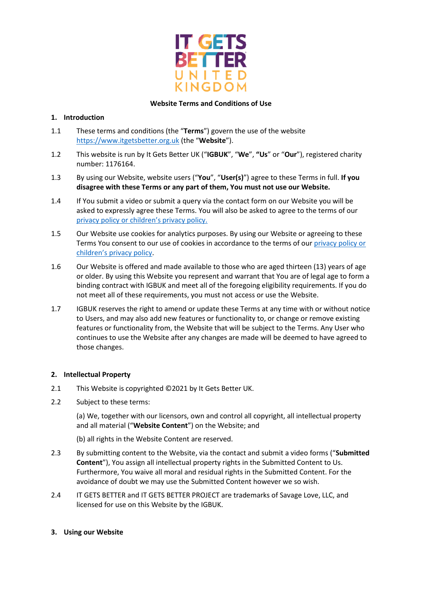

### **Website Terms and Conditions of Use**

## **1. Introduction**

- 1.1 These terms and conditions (the "**Terms**") govern the use of the website [https://www.itgetsbetter.org.uk](https://www.itgetsbetter.org.uk/) (the "**Website**").
- 1.2 This website is run by It Gets Better UK ("**IGBUK**", "**We**", **"Us**" or "**Our**"), registered charity number: 1176164.
- 1.3 By using our Website, website users ("**You**", "**User(s)**") agree to these Terms in full. **If you disagree with these Terms or any part of them, You must not use our Website.**
- 1.4 If You submit a video or submit a query via the contact form on our Website you will be asked to expressly agree these Terms. You will also be asked to agree to the terms of our privacy policy [or children's privacy policy.](https://b21982f5-647a-495b-a42a-567b53288128.filesusr.com/ugd/7e7637_dd890cd57ba143afa286b72d203381b2.pdf)
- 1.5 Our Website use cookies for analytics purposes. By using our Website or agreeing to these Terms You consent to our use of cookies in accordance to the terms of our [privacy policy](https://b21982f5-647a-495b-a42a-567b53288128.filesusr.com/ugd/7e7637_dd890cd57ba143afa286b72d203381b2.pdf) or children's privacy policy.
- 1.6 Our Website is offered and made available to those who are aged thirteen (13) years of age or older. By using this Website you represent and warrant that You are of legal age to form a binding contract with IGBUK and meet all of the foregoing eligibility requirements. If you do not meet all of these requirements, you must not access or use the Website.
- 1.7 IGBUK reserves the right to amend or update these Terms at any time with or without notice to Users, and may also add new features or functionality to, or change or remove existing features or functionality from, the Website that will be subject to the Terms. Any User who continues to use the Website after any changes are made will be deemed to have agreed to those changes.

#### **2. Intellectual Property**

- 2.1 This Website is copyrighted ©2021 by It Gets Better UK.
- 2.2 Subject to these terms:

(a) We, together with our licensors, own and control all copyright, all intellectual property and all material ("**Website Content**") on the Website; and

- (b) all rights in the Website Content are reserved.
- 2.3 By submitting content to the Website, via the contact and submit a video forms ("**Submitted Content**"), You assign all intellectual property rights in the Submitted Content to Us. Furthermore, You waive all moral and residual rights in the Submitted Content. For the avoidance of doubt we may use the Submitted Content however we so wish.
- 2.4 IT GETS BETTER and IT GETS BETTER PROJECT are trademarks of Savage Love, LLC, and licensed for use on this Website by the IGBUK.
- **3. Using our Website**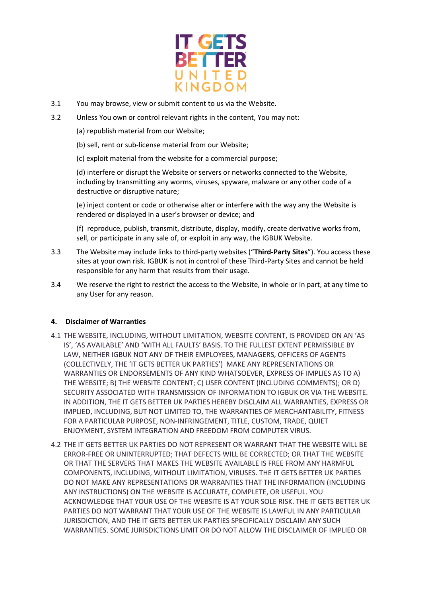

- 3.1 You may browse, view or submit content to us via the Website.
- 3.2 Unless You own or control relevant rights in the content, You may not:
	- (a) republish material from our Website;
	- (b) sell, rent or sub-license material from our Website;
	- (c) exploit material from the website for a commercial purpose;

(d) interfere or disrupt the Website or servers or networks connected to the Website, including by transmitting any worms, viruses, spyware, malware or any other code of a destructive or disruptive nature;

(e) inject content or code or otherwise alter or interfere with the way any the Website is rendered or displayed in a user's browser or device; and

(f) reproduce, publish, transmit, distribute, display, modify, create derivative works from, sell, or participate in any sale of, or exploit in any way, the IGBUK Website.

- 3.3 The Website may include links to third-party websites ("**Third-Party Sites**"). You access these sites at your own risk. IGBUK is not in control of these Third-Party Sites and cannot be held responsible for any harm that results from their usage.
- 3.4 We reserve the right to restrict the access to the Website, in whole or in part, at any time to any User for any reason.

#### **4. Disclaimer of Warranties**

- 4.1 THE WEBSITE, INCLUDING, WITHOUT LIMITATION, WEBSITE CONTENT, IS PROVIDED ON AN 'AS IS', 'AS AVAILABLE' AND 'WITH ALL FAULTS' BASIS. TO THE FULLEST EXTENT PERMISSIBLE BY LAW, NEITHER IGBUK NOT ANY OF THEIR EMPLOYEES, MANAGERS, OFFICERS OF AGENTS (COLLECTIVELY, THE 'IT GETS BETTER UK PARTIES') MAKE ANY REPRESENTATIONS OR WARRANTIES OR ENDORSEMENTS OF ANY KIND WHATSOEVER, EXPRESS OF IMPLIES AS TO A) THE WEBSITE; B) THE WEBSITE CONTENT; C) USER CONTENT (INCLUDING COMMENTS); OR D) SECURITY ASSOCIATED WITH TRANSMISSION OF INFORMATION TO IGBUK OR VIA THE WEBSITE. IN ADDITION, THE IT GETS BETTER UK PARTIES HEREBY DISCLAIM ALL WARRANTIES, EXPRESS OR IMPLIED, INCLUDING, BUT NOT LIMITED TO, THE WARRANTIES OF MERCHANTABILITY, FITNESS FOR A PARTICULAR PURPOSE, NON-INFRINGEMENT, TITLE, CUSTOM, TRADE, QUIET ENJOYMENT, SYSTEM INTEGRATION AND FREEDOM FROM COMPUTER VIRUS.
- 4.2 THE IT GETS BETTER UK PARTIES DO NOT REPRESENT OR WARRANT THAT THE WEBSITE WILL BE ERROR-FREE OR UNINTERRUPTED; THAT DEFECTS WILL BE CORRECTED; OR THAT THE WEBSITE OR THAT THE SERVERS THAT MAKES THE WEBSITE AVAILABLE IS FREE FROM ANY HARMFUL COMPONENTS, INCLUDING, WITHOUT LIMITATION, VIRUSES. THE IT GETS BETTER UK PARTIES DO NOT MAKE ANY REPRESENTATIONS OR WARRANTIES THAT THE INFORMATION (INCLUDING ANY INSTRUCTIONS) ON THE WEBSITE IS ACCURATE, COMPLETE, OR USEFUL. YOU ACKNOWLEDGE THAT YOUR USE OF THE WEBSITE IS AT YOUR SOLE RISK. THE IT GETS BETTER UK PARTIES DO NOT WARRANT THAT YOUR USE OF THE WEBSITE IS LAWFUL IN ANY PARTICULAR JURISDICTION, AND THE IT GETS BETTER UK PARTIES SPECIFICALLY DISCLAIM ANY SUCH WARRANTIES. SOME JURISDICTIONS LIMIT OR DO NOT ALLOW THE DISCLAIMER OF IMPLIED OR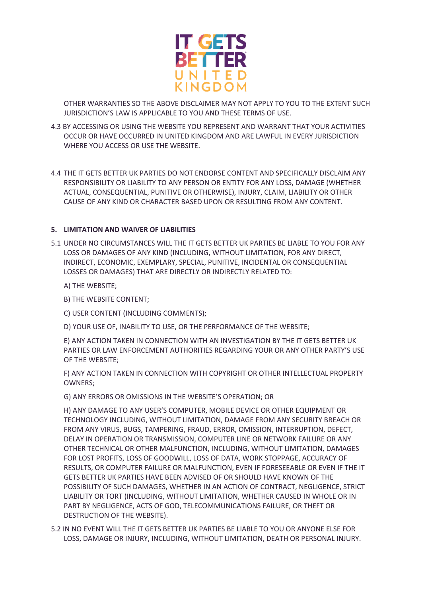

OTHER WARRANTIES SO THE ABOVE DISCLAIMER MAY NOT APPLY TO YOU TO THE EXTENT SUCH JURISDICTION'S LAW IS APPLICABLE TO YOU AND THESE TERMS OF USE.

- 4.3 BY ACCESSING OR USING THE WEBSITE YOU REPRESENT AND WARRANT THAT YOUR ACTIVITIES OCCUR OR HAVE OCCURRED IN UNITED KINGDOM AND ARE LAWFUL IN EVERY JURISDICTION WHERE YOU ACCESS OR USE THE WEBSITE.
- 4.4 THE IT GETS BETTER UK PARTIES DO NOT ENDORSE CONTENT AND SPECIFICALLY DISCLAIM ANY RESPONSIBILITY OR LIABILITY TO ANY PERSON OR ENTITY FOR ANY LOSS, DAMAGE (WHETHER ACTUAL, CONSEQUENTIAL, PUNITIVE OR OTHERWISE), INJURY, CLAIM, LIABILITY OR OTHER CAUSE OF ANY KIND OR CHARACTER BASED UPON OR RESULTING FROM ANY CONTENT.

## **5. LIMITATION AND WAIVER OF LIABILITIES**

- 5.1 UNDER NO CIRCUMSTANCES WILL THE IT GETS BETTER UK PARTIES BE LIABLE TO YOU FOR ANY LOSS OR DAMAGES OF ANY KIND (INCLUDING, WITHOUT LIMITATION, FOR ANY DIRECT, INDIRECT, ECONOMIC, EXEMPLARY, SPECIAL, PUNITIVE, INCIDENTAL OR CONSEQUENTIAL LOSSES OR DAMAGES) THAT ARE DIRECTLY OR INDIRECTLY RELATED TO:
	- A) THE WEBSITE;

B) THE WEBSITE CONTENT;

C) USER CONTENT (INCLUDING COMMENTS);

D) YOUR USE OF, INABILITY TO USE, OR THE PERFORMANCE OF THE WEBSITE;

E) ANY ACTION TAKEN IN CONNECTION WITH AN INVESTIGATION BY THE IT GETS BETTER UK PARTIES OR LAW ENFORCEMENT AUTHORITIES REGARDING YOUR OR ANY OTHER PARTY'S USE OF THE WEBSITE;

F) ANY ACTION TAKEN IN CONNECTION WITH COPYRIGHT OR OTHER INTELLECTUAL PROPERTY OWNERS;

G) ANY ERRORS OR OMISSIONS IN THE WEBSITE'S OPERATION; OR

H) ANY DAMAGE TO ANY USER'S COMPUTER, MOBILE DEVICE OR OTHER EQUIPMENT OR TECHNOLOGY INCLUDING, WITHOUT LIMITATION, DAMAGE FROM ANY SECURITY BREACH OR FROM ANY VIRUS, BUGS, TAMPERING, FRAUD, ERROR, OMISSION, INTERRUPTION, DEFECT, DELAY IN OPERATION OR TRANSMISSION, COMPUTER LINE OR NETWORK FAILURE OR ANY OTHER TECHNICAL OR OTHER MALFUNCTION, INCLUDING, WITHOUT LIMITATION, DAMAGES FOR LOST PROFITS, LOSS OF GOODWILL, LOSS OF DATA, WORK STOPPAGE, ACCURACY OF RESULTS, OR COMPUTER FAILURE OR MALFUNCTION, EVEN IF FORESEEABLE OR EVEN IF THE IT GETS BETTER UK PARTIES HAVE BEEN ADVISED OF OR SHOULD HAVE KNOWN OF THE POSSIBILITY OF SUCH DAMAGES, WHETHER IN AN ACTION OF CONTRACT, NEGLIGENCE, STRICT LIABILITY OR TORT (INCLUDING, WITHOUT LIMITATION, WHETHER CAUSED IN WHOLE OR IN PART BY NEGLIGENCE, ACTS OF GOD, TELECOMMUNICATIONS FAILURE, OR THEFT OR DESTRUCTION OF THE WEBSITE).

5.2 IN NO EVENT WILL THE IT GETS BETTER UK PARTIES BE LIABLE TO YOU OR ANYONE ELSE FOR LOSS, DAMAGE OR INJURY, INCLUDING, WITHOUT LIMITATION, DEATH OR PERSONAL INJURY.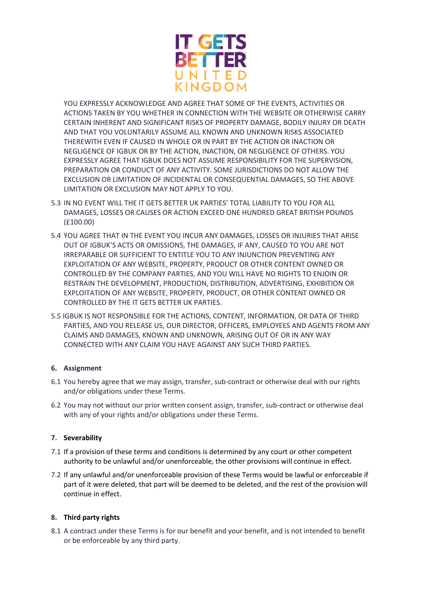

YOU EXPRESSLY ACKNOWLEDGE AND AGREE THAT SOME OF THE EVENTS, ACTIVITIES OR ACTIONS TAKEN BY YOU WHETHER IN CONNECTION WITH THE WEBSITE OR OTHERWISE CARRY CERTAIN INHERENT AND SIGNIFICANT RISKS OF PROPERTY DAMAGE, BODILY INJURY OR DEATH AND THAT YOU VOLUNTARILY ASSUME ALL KNOWN AND UNKNOWN RISKS ASSOCIATED THEREWITH EVEN IF CAUSED IN WHOLE OR IN PART BY THE ACTION OR INACTION OR NEGLIGENCE OF IGBUK OR BY THE ACTION, INACTION, OR NEGLIGENCE OF OTHERS. YOU EXPRESSLY AGREE THAT IGBUK DOES NOT ASSUME RESPONSIBILITY FOR THE SUPERVISION, PREPARATION OR CONDUCT OF ANY ACTIVITY. SOME JURISDICTIONS DO NOT ALLOW THE EXCLUSION OR LIMITATION OF INCIDENTAL OR CONSEQUENTIAL DAMAGES, SO THE ABOVE LIMITATION OR EXCLUSION MAY NOT APPLY TO YOU.

- 5.3 IN NO EVENT WILL THE IT GETS BETTER UK PARTIES' TOTAL LIABILITY TO YOU FOR ALL DAMAGES, LOSSES OR CAUSES OR ACTION EXCEED ONE HUNDRED GREAT BRITISH POUNDS (£100.00)
- 5.4 YOU AGREE THAT IN THE EVENT YOU INCUR ANY DAMAGES, LOSSES OR INJURIES THAT ARISE OUT OF IGBUK'S ACTS OR OMISSIONS, THE DAMAGES, IF ANY, CAUSED TO YOU ARE NOT IRREPARABLE OR SUFFICIENT TO ENTITLE YOU TO ANY INJUNCTION PREVENTING ANY EXPLOITATION OF ANY WEBSITE, PROPERTY, PRODUCT OR OTHER CONTENT OWNED OR CONTROLLED BY THE COMPANY PARTIES, AND YOU WILL HAVE NO RIGHTS TO ENJOIN OR RESTRAIN THE DEVELOPMENT, PRODUCTION, DISTRIBUTION, ADVERTISING, EXHIBITION OR EXPLOITATION OF ANY WEBSITE, PROPERTY, PRODUCT, OR OTHER CONTENT OWNED OR CONTROLLED BY THE IT GETS BETTER UK PARTIES.
- 5.5 IGBUK IS NOT RESPONSIBLE FOR THE ACTIONS, CONTENT, INFORMATION, OR DATA OF THIRD PARTIES, AND YOU RELEASE US, OUR DIRECTOR, OFFICERS, EMPLOYEES AND AGENTS FROM ANY CLAIMS AND DAMAGES, KNOWN AND UNKNOWN, ARISING OUT OF OR IN ANY WAY CONNECTED WITH ANY CLAIM YOU HAVE AGAINST ANY SUCH THIRD PARTIES.

# **6. Assignment**

- 6.1 You hereby agree that we may assign, transfer, sub-contract or otherwise deal with our rights and/or obligations under these Terms.
- 6.2 You may not without our prior written consent assign, transfer, sub-contract or otherwise deal with any of your rights and/or obligations under these Terms.

# **7. Severability**

- 7.1 If a provision of these terms and conditions is determined by any court or other competent authority to be unlawful and/or unenforceable, the other provisions will continue in effect.
- 7.2 If any unlawful and/or unenforceable provision of these Terms would be lawful or enforceable if part of it were deleted, that part will be deemed to be deleted, and the rest of the provision will continue in effect.

# **8. Third party rights**

8.1 A contract under these Terms is for our benefit and your benefit, and is not intended to benefit or be enforceable by any third party.